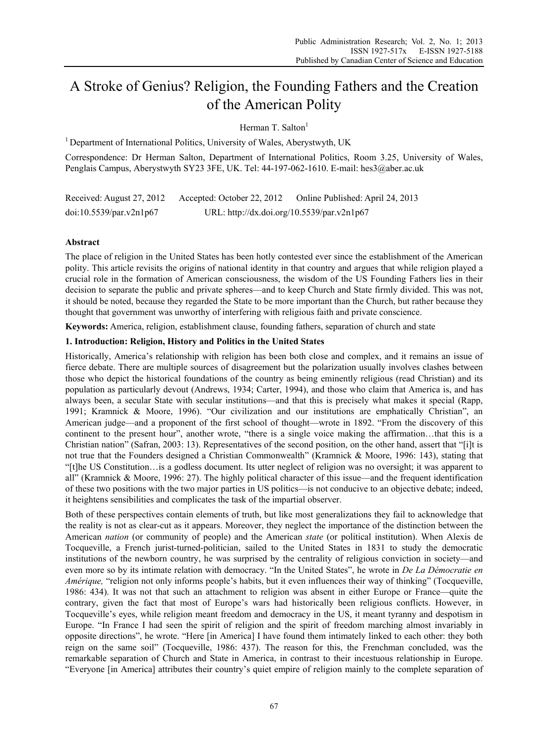# A Stroke of Genius? Religion, the Founding Fathers and the Creation of the American Polity

Herman T. Salton $<sup>1</sup>$ </sup>

<sup>1</sup> Department of International Politics, University of Wales, Aberystwyth, UK

Correspondence: Dr Herman Salton, Department of International Politics, Room 3.25, University of Wales, Penglais Campus, Aberystwyth SY23 3FE, UK. Tel: 44-197-062-1610. E-mail: hes3@aber.ac.uk

Received: August 27, 2012 Accepted: October 22, 2012 Online Published: April 24, 2013 doi:10.5539/par.v2n1p67 URL: http://dx.doi.org/10.5539/par.v2n1p67

# **Abstract**

The place of religion in the United States has been hotly contested ever since the establishment of the American polity. This article revisits the origins of national identity in that country and argues that while religion played a crucial role in the formation of American consciousness, the wisdom of the US Founding Fathers lies in their decision to separate the public and private spheres—and to keep Church and State firmly divided. This was not, it should be noted, because they regarded the State to be more important than the Church, but rather because they thought that government was unworthy of interfering with religious faith and private conscience.

**Keywords:** America, religion, establishment clause, founding fathers, separation of church and state

## **1. Introduction: Religion, History and Politics in the United States**

Historically, America's relationship with religion has been both close and complex, and it remains an issue of fierce debate. There are multiple sources of disagreement but the polarization usually involves clashes between those who depict the historical foundations of the country as being eminently religious (read Christian) and its population as particularly devout (Andrews, 1934; Carter, 1994), and those who claim that America is, and has always been, a secular State with secular institutions—and that this is precisely what makes it special (Rapp, 1991; Kramnick & Moore, 1996). "Our civilization and our institutions are emphatically Christian", an American judge—and a proponent of the first school of thought—wrote in 1892. "From the discovery of this continent to the present hour", another wrote, "there is a single voice making the affirmation…that this is a Christian nation" (Safran, 2003: 13). Representatives of the second position, on the other hand, assert that "[i]t is not true that the Founders designed a Christian Commonwealth" (Kramnick & Moore, 1996: 143), stating that "[t]he US Constitution…is a godless document. Its utter neglect of religion was no oversight; it was apparent to all" (Kramnick & Moore, 1996: 27). The highly political character of this issue—and the frequent identification of these two positions with the two major parties in US politics—is not conducive to an objective debate; indeed, it heightens sensibilities and complicates the task of the impartial observer.

Both of these perspectives contain elements of truth, but like most generalizations they fail to acknowledge that the reality is not as clear-cut as it appears. Moreover, they neglect the importance of the distinction between the American *nation* (or community of people) and the American *state* (or political institution). When Alexis de Tocqueville, a French jurist-turned-politician, sailed to the United States in 1831 to study the democratic institutions of the newborn country, he was surprised by the centrality of religious conviction in society—and even more so by its intimate relation with democracy. "In the United States", he wrote in *De La Démocratie en Amérique,* "religion not only informs people's habits, but it even influences their way of thinking" (Tocqueville, 1986: 434). It was not that such an attachment to religion was absent in either Europe or France—quite the contrary, given the fact that most of Europe's wars had historically been religious conflicts. However, in Tocqueville's eyes, while religion meant freedom and democracy in the US, it meant tyranny and despotism in Europe. "In France I had seen the spirit of religion and the spirit of freedom marching almost invariably in opposite directions", he wrote. "Here [in America] I have found them intimately linked to each other: they both reign on the same soil" (Tocqueville, 1986: 437). The reason for this, the Frenchman concluded, was the remarkable separation of Church and State in America, in contrast to their incestuous relationship in Europe. "Everyone [in America] attributes their country's quiet empire of religion mainly to the complete separation of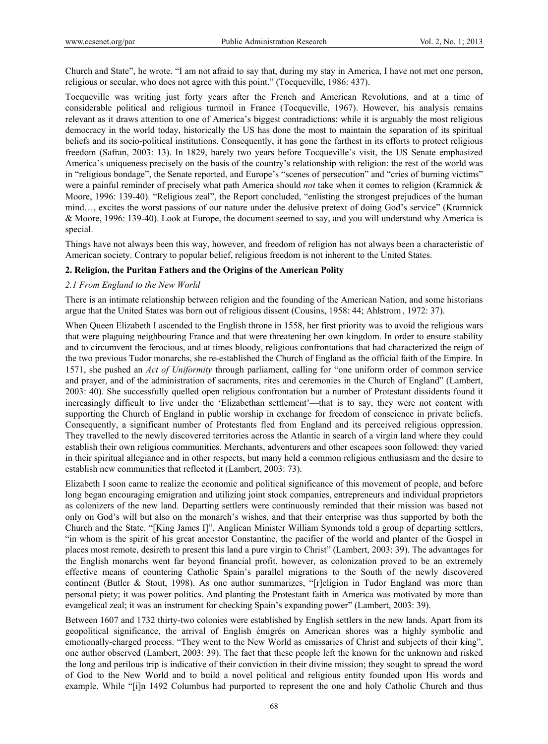Church and State", he wrote. "I am not afraid to say that, during my stay in America, I have not met one person, religious or secular, who does not agree with this point." (Tocqueville, 1986: 437).

Tocqueville was writing just forty years after the French and American Revolutions, and at a time of considerable political and religious turmoil in France (Tocqueville, 1967). However, his analysis remains relevant as it draws attention to one of America's biggest contradictions: while it is arguably the most religious democracy in the world today, historically the US has done the most to maintain the separation of its spiritual beliefs and its socio-political institutions. Consequently, it has gone the farthest in its efforts to protect religious freedom (Safran, 2003: 13). In 1829, barely two years before Tocqueville's visit, the US Senate emphasized America's uniqueness precisely on the basis of the country's relationship with religion: the rest of the world was in "religious bondage", the Senate reported, and Europe's "scenes of persecution" and "cries of burning victims" were a painful reminder of precisely what path America should *not* take when it comes to religion (Kramnick & Moore, 1996: 139-40). "Religious zeal", the Report concluded, "enlisting the strongest prejudices of the human mind…, excites the worst passions of our nature under the delusive pretext of doing God's service" (Kramnick & Moore, 1996: 139-40). Look at Europe, the document seemed to say, and you will understand why America is special.

Things have not always been this way, however, and freedom of religion has not always been a characteristic of American society. Contrary to popular belief, religious freedom is not inherent to the United States.

## **2. Religion, the Puritan Fathers and the Origins of the American Polity**

#### *2.1 From England to the New World*

There is an intimate relationship between religion and the founding of the American Nation, and some historians argue that the United States was born out of religious dissent (Cousins, 1958: 44; Ahlstrom , 1972: 37).

When Queen Elizabeth I ascended to the English throne in 1558, her first priority was to avoid the religious wars that were plaguing neighbouring France and that were threatening her own kingdom. In order to ensure stability and to circumvent the ferocious, and at times bloody, religious confrontations that had characterized the reign of the two previous Tudor monarchs, she re-established the Church of England as the official faith of the Empire. In 1571, she pushed an *Act of Uniformity* through parliament, calling for "one uniform order of common service and prayer, and of the administration of sacraments, rites and ceremonies in the Church of England" (Lambert, 2003: 40). She successfully quelled open religious confrontation but a number of Protestant dissidents found it increasingly difficult to live under the 'Elizabethan settlement'—that is to say, they were not content with supporting the Church of England in public worship in exchange for freedom of conscience in private beliefs. Consequently, a significant number of Protestants fled from England and its perceived religious oppression. They travelled to the newly discovered territories across the Atlantic in search of a virgin land where they could establish their own religious communities. Merchants, adventurers and other escapees soon followed: they varied in their spiritual allegiance and in other respects, but many held a common religious enthusiasm and the desire to establish new communities that reflected it (Lambert, 2003: 73).

Elizabeth I soon came to realize the economic and political significance of this movement of people, and before long began encouraging emigration and utilizing joint stock companies, entrepreneurs and individual proprietors as colonizers of the new land. Departing settlers were continuously reminded that their mission was based not only on God's will but also on the monarch's wishes, and that their enterprise was thus supported by both the Church and the State. "[King James I]", Anglican Minister William Symonds told a group of departing settlers, "in whom is the spirit of his great ancestor Constantine, the pacifier of the world and planter of the Gospel in places most remote, desireth to present this land a pure virgin to Christ" (Lambert, 2003: 39). The advantages for the English monarchs went far beyond financial profit, however, as colonization proved to be an extremely effective means of countering Catholic Spain's parallel migrations to the South of the newly discovered continent (Butler & Stout, 1998). As one author summarizes, "[r]eligion in Tudor England was more than personal piety; it was power politics. And planting the Protestant faith in America was motivated by more than evangelical zeal; it was an instrument for checking Spain's expanding power" (Lambert, 2003: 39).

Between 1607 and 1732 thirty-two colonies were established by English settlers in the new lands. Apart from its geopolitical significance, the arrival of English émigrés on American shores was a highly symbolic and emotionally-charged process. "They went to the New World as emissaries of Christ and subjects of their king", one author observed (Lambert, 2003: 39). The fact that these people left the known for the unknown and risked the long and perilous trip is indicative of their conviction in their divine mission; they sought to spread the word of God to the New World and to build a novel political and religious entity founded upon His words and example. While "[i]n 1492 Columbus had purported to represent the one and holy Catholic Church and thus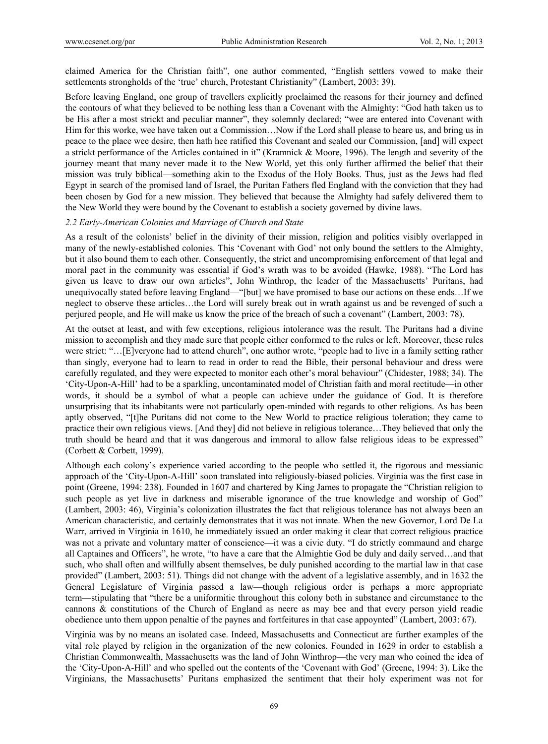claimed America for the Christian faith", one author commented, "English settlers vowed to make their settlements strongholds of the 'true' church, Protestant Christianity" (Lambert, 2003: 39).

Before leaving England, one group of travellers explicitly proclaimed the reasons for their journey and defined the contours of what they believed to be nothing less than a Covenant with the Almighty: "God hath taken us to be His after a most strickt and peculiar manner", they solemnly declared; "wee are entered into Covenant with Him for this worke, wee have taken out a Commission…Now if the Lord shall please to heare us, and bring us in peace to the place wee desire, then hath hee ratified this Covenant and sealed our Commission, [and] will expect a strickt performance of the Articles contained in it" (Kramnick & Moore, 1996). The length and severity of the journey meant that many never made it to the New World, yet this only further affirmed the belief that their mission was truly biblical—something akin to the Exodus of the Holy Books. Thus, just as the Jews had fled Egypt in search of the promised land of Israel, the Puritan Fathers fled England with the conviction that they had been chosen by God for a new mission. They believed that because the Almighty had safely delivered them to the New World they were bound by the Covenant to establish a society governed by divine laws.

#### *2.2 Early-American Colonies and Marriage of Church and State*

As a result of the colonists' belief in the divinity of their mission, religion and politics visibly overlapped in many of the newly-established colonies. This 'Covenant with God' not only bound the settlers to the Almighty, but it also bound them to each other. Consequently, the strict and uncompromising enforcement of that legal and moral pact in the community was essential if God's wrath was to be avoided (Hawke, 1988). "The Lord has given us leave to draw our own articles", John Winthrop, the leader of the Massachusetts' Puritans, had unequivocally stated before leaving England—"[but] we have promised to base our actions on these ends…If we neglect to observe these articles…the Lord will surely break out in wrath against us and be revenged of such a perjured people, and He will make us know the price of the breach of such a covenant" (Lambert, 2003: 78).

At the outset at least, and with few exceptions, religious intolerance was the result. The Puritans had a divine mission to accomplish and they made sure that people either conformed to the rules or left. Moreover, these rules were strict: "…[E]veryone had to attend church", one author wrote, "people had to live in a family setting rather than singly, everyone had to learn to read in order to read the Bible, their personal behaviour and dress were carefully regulated, and they were expected to monitor each other's moral behaviour" (Chidester, 1988; 34). The 'City-Upon-A-Hill' had to be a sparkling, uncontaminated model of Christian faith and moral rectitude—in other words, it should be a symbol of what a people can achieve under the guidance of God. It is therefore unsurprising that its inhabitants were not particularly open-minded with regards to other religions. As has been aptly observed, "[t]he Puritans did not come to the New World to practice religious toleration; they came to practice their own religious views. [And they] did not believe in religious tolerance…They believed that only the truth should be heard and that it was dangerous and immoral to allow false religious ideas to be expressed" (Corbett & Corbett, 1999).

Although each colony's experience varied according to the people who settled it, the rigorous and messianic approach of the 'City-Upon-A-Hill' soon translated into religiously-biased policies. Virginia was the first case in point (Greene, 1994: 238). Founded in 1607 and chartered by King James to propagate the "Christian religion to such people as yet live in darkness and miserable ignorance of the true knowledge and worship of God" (Lambert, 2003: 46), Virginia's colonization illustrates the fact that religious tolerance has not always been an American characteristic, and certainly demonstrates that it was not innate. When the new Governor, Lord De La Warr, arrived in Virginia in 1610, he immediately issued an order making it clear that correct religious practice was not a private and voluntary matter of conscience—it was a civic duty. "I do strictly commaund and charge all Captaines and Officers", he wrote, "to have a care that the Almightie God be duly and daily served…and that such, who shall often and willfully absent themselves, be duly punished according to the martial law in that case provided" (Lambert, 2003: 51). Things did not change with the advent of a legislative assembly, and in 1632 the General Legislature of Virginia passed a law—though religious order is perhaps a more appropriate term—stipulating that "there be a uniformitie throughout this colony both in substance and circumstance to the cannons & constitutions of the Church of England as neere as may bee and that every person yield readie obedience unto them uppon penaltie of the paynes and fortfeitures in that case appoynted" (Lambert, 2003: 67).

Virginia was by no means an isolated case. Indeed, Massachusetts and Connecticut are further examples of the vital role played by religion in the organization of the new colonies. Founded in 1629 in order to establish a Christian Commonwealth, Massachusetts was the land of John Winthrop—the very man who coined the idea of the 'City-Upon-A-Hill' and who spelled out the contents of the 'Covenant with God' (Greene, 1994: 3). Like the Virginians, the Massachusetts' Puritans emphasized the sentiment that their holy experiment was not for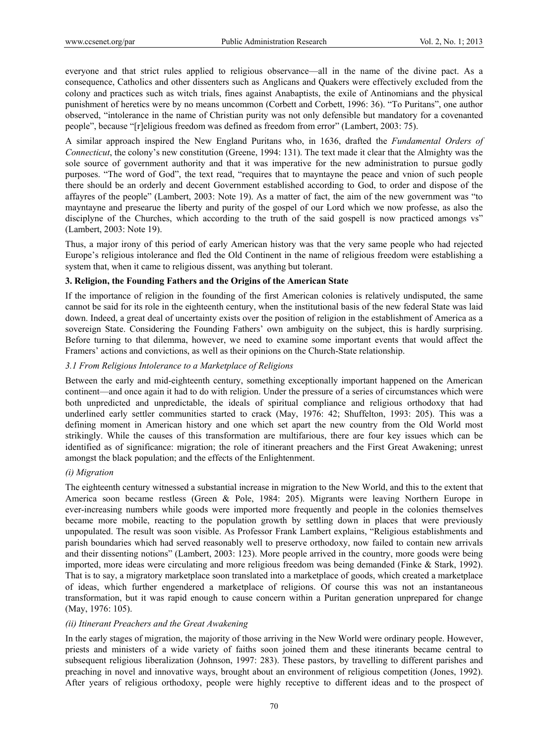everyone and that strict rules applied to religious observance—all in the name of the divine pact. As a consequence, Catholics and other dissenters such as Anglicans and Quakers were effectively excluded from the colony and practices such as witch trials, fines against Anabaptists, the exile of Antinomians and the physical punishment of heretics were by no means uncommon (Corbett and Corbett, 1996: 36). "To Puritans", one author observed, "intolerance in the name of Christian purity was not only defensible but mandatory for a covenanted people", because "[r]eligious freedom was defined as freedom from error" (Lambert, 2003: 75).

A similar approach inspired the New England Puritans who, in 1636, drafted the *Fundamental Orders of Connecticut*, the colony's new constitution (Greene, 1994: 131). The text made it clear that the Almighty was the sole source of government authority and that it was imperative for the new administration to pursue godly purposes. "The word of God", the text read, "requires that to mayntayne the peace and vnion of such people there should be an orderly and decent Government established according to God, to order and dispose of the affayres of the people" (Lambert, 2003: Note 19). As a matter of fact, the aim of the new government was "to mayntayne and presearue the liberty and purity of the gospel of our Lord which we now professe, as also the disciplyne of the Churches, which according to the truth of the said gospell is now practiced amongs vs" (Lambert, 2003: Note 19).

Thus, a major irony of this period of early American history was that the very same people who had rejected Europe's religious intolerance and fled the Old Continent in the name of religious freedom were establishing a system that, when it came to religious dissent, was anything but tolerant.

## **3. Religion, the Founding Fathers and the Origins of the American State**

If the importance of religion in the founding of the first American colonies is relatively undisputed, the same cannot be said for its role in the eighteenth century, when the institutional basis of the new federal State was laid down. Indeed, a great deal of uncertainty exists over the position of religion in the establishment of America as a sovereign State. Considering the Founding Fathers' own ambiguity on the subject, this is hardly surprising. Before turning to that dilemma, however, we need to examine some important events that would affect the Framers' actions and convictions, as well as their opinions on the Church-State relationship.

## *3.1 From Religious Intolerance to a Marketplace of Religions*

Between the early and mid-eighteenth century, something exceptionally important happened on the American continent—and once again it had to do with religion. Under the pressure of a series of circumstances which were both unpredicted and unpredictable, the ideals of spiritual compliance and religious orthodoxy that had underlined early settler communities started to crack (May, 1976: 42; Shuffelton, 1993: 205). This was a defining moment in American history and one which set apart the new country from the Old World most strikingly. While the causes of this transformation are multifarious, there are four key issues which can be identified as of significance: migration; the role of itinerant preachers and the First Great Awakening; unrest amongst the black population; and the effects of the Enlightenment.

## *(i) Migration*

The eighteenth century witnessed a substantial increase in migration to the New World, and this to the extent that America soon became restless (Green & Pole, 1984: 205). Migrants were leaving Northern Europe in ever-increasing numbers while goods were imported more frequently and people in the colonies themselves became more mobile, reacting to the population growth by settling down in places that were previously unpopulated. The result was soon visible. As Professor Frank Lambert explains, "Religious establishments and parish boundaries which had served reasonably well to preserve orthodoxy, now failed to contain new arrivals and their dissenting notions" (Lambert, 2003: 123). More people arrived in the country, more goods were being imported, more ideas were circulating and more religious freedom was being demanded (Finke & Stark, 1992). That is to say, a migratory marketplace soon translated into a marketplace of goods, which created a marketplace of ideas, which further engendered a marketplace of religions. Of course this was not an instantaneous transformation, but it was rapid enough to cause concern within a Puritan generation unprepared for change (May, 1976: 105).

# *(ii) Itinerant Preachers and the Great Awakening*

In the early stages of migration, the majority of those arriving in the New World were ordinary people. However, priests and ministers of a wide variety of faiths soon joined them and these itinerants became central to subsequent religious liberalization (Johnson, 1997: 283). These pastors, by travelling to different parishes and preaching in novel and innovative ways, brought about an environment of religious competition (Jones, 1992). After years of religious orthodoxy, people were highly receptive to different ideas and to the prospect of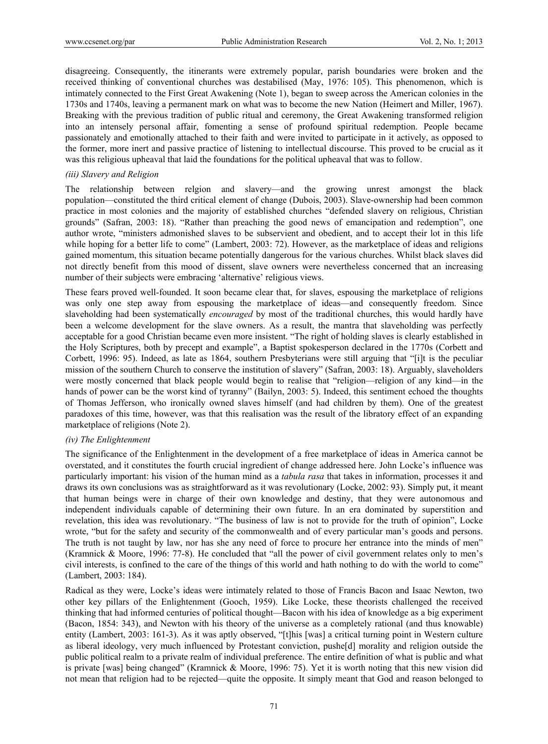disagreeing. Consequently, the itinerants were extremely popular, parish boundaries were broken and the received thinking of conventional churches was destabilised (May, 1976: 105). This phenomenon, which is intimately connected to the First Great Awakening (Note 1), began to sweep across the American colonies in the 1730s and 1740s, leaving a permanent mark on what was to become the new Nation (Heimert and Miller, 1967). Breaking with the previous tradition of public ritual and ceremony, the Great Awakening transformed religion into an intensely personal affair, fomenting a sense of profound spiritual redemption. People became passionately and emotionally attached to their faith and were invited to participate in it actively, as opposed to the former, more inert and passive practice of listening to intellectual discourse. This proved to be crucial as it was this religious upheaval that laid the foundations for the political upheaval that was to follow.

#### *(iii) Slavery and Religion*

The relationship between relgion and slavery—and the growing unrest amongst the black population—constituted the third critical element of change (Dubois, 2003). Slave-ownership had been common practice in most colonies and the majority of established churches "defended slavery on religious, Christian grounds" (Safran, 2003: 18). "Rather than preaching the good news of emancipation and redemption", one author wrote, "ministers admonished slaves to be subservient and obedient, and to accept their lot in this life while hoping for a better life to come" (Lambert, 2003: 72). However, as the marketplace of ideas and religions gained momentum, this situation became potentially dangerous for the various churches. Whilst black slaves did not directly benefit from this mood of dissent, slave owners were nevertheless concerned that an increasing number of their subjects were embracing 'alternative' religious views.

These fears proved well-founded. It soon became clear that, for slaves, espousing the marketplace of religions was only one step away from espousing the marketplace of ideas—and consequently freedom. Since slaveholding had been systematically *encouraged* by most of the traditional churches, this would hardly have been a welcome development for the slave owners. As a result, the mantra that slaveholding was perfectly acceptable for a good Christian became even more insistent. "The right of holding slaves is clearly established in the Holy Scriptures, both by precept and example", a Baptist spokesperson declared in the 1770s (Corbett and Corbett, 1996: 95). Indeed, as late as 1864, southern Presbyterians were still arguing that "[i]t is the peculiar mission of the southern Church to conserve the institution of slavery" (Safran, 2003: 18). Arguably, slaveholders were mostly concerned that black people would begin to realise that "religion—religion of any kind—in the hands of power can be the worst kind of tyranny" (Bailyn, 2003: 5). Indeed, this sentiment echoed the thoughts of Thomas Jefferson, who ironically owned slaves himself (and had children by them). One of the greatest paradoxes of this time, however, was that this realisation was the result of the libratory effect of an expanding marketplace of religions (Note 2).

#### *(iv) The Enlightenment*

The significance of the Enlightenment in the development of a free marketplace of ideas in America cannot be overstated, and it constitutes the fourth crucial ingredient of change addressed here. John Locke's influence was particularly important: his vision of the human mind as a *tabula rasa* that takes in information, processes it and draws its own conclusions was as straightforward as it was revolutionary (Locke, 2002: 93). Simply put, it meant that human beings were in charge of their own knowledge and destiny, that they were autonomous and independent individuals capable of determining their own future. In an era dominated by superstition and revelation, this idea was revolutionary. "The business of law is not to provide for the truth of opinion", Locke wrote, "but for the safety and security of the commonwealth and of every particular man's goods and persons. The truth is not taught by law, nor has she any need of force to procure her entrance into the minds of men" (Kramnick & Moore, 1996: 77-8). He concluded that "all the power of civil government relates only to men's civil interests, is confined to the care of the things of this world and hath nothing to do with the world to come" (Lambert, 2003: 184).

Radical as they were, Locke's ideas were intimately related to those of Francis Bacon and Isaac Newton, two other key pillars of the Enlightenment (Gooch, 1959). Like Locke, these theorists challenged the received thinking that had informed centuries of political thought—Bacon with his idea of knowledge as a big experiment (Bacon, 1854: 343), and Newton with his theory of the universe as a completely rational (and thus knowable) entity (Lambert, 2003: 161-3). As it was aptly observed, "[t]his [was] a critical turning point in Western culture as liberal ideology, very much influenced by Protestant conviction, pushe[d] morality and religion outside the public political realm to a private realm of individual preference. The entire definition of what is public and what is private [was] being changed" (Kramnick & Moore, 1996: 75). Yet it is worth noting that this new vision did not mean that religion had to be rejected—quite the opposite. It simply meant that God and reason belonged to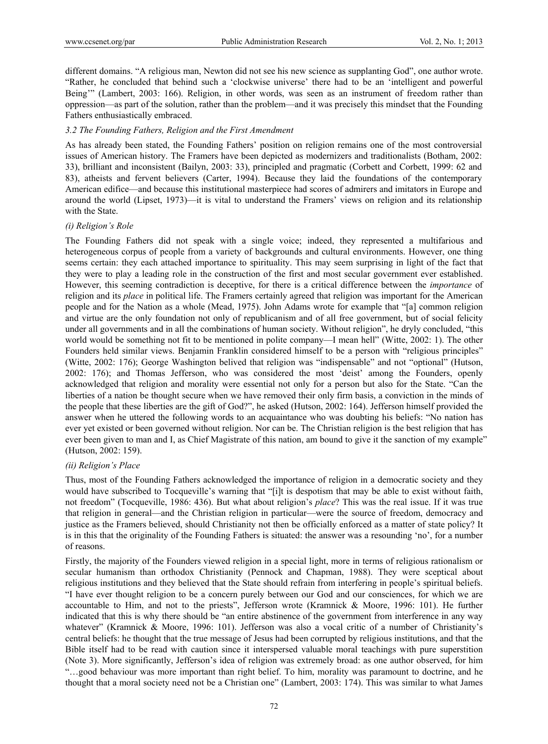different domains. "A religious man, Newton did not see his new science as supplanting God", one author wrote. "Rather, he concluded that behind such a 'clockwise universe' there had to be an 'intelligent and powerful Being'" (Lambert, 2003: 166). Religion, in other words, was seen as an instrument of freedom rather than oppression—as part of the solution, rather than the problem—and it was precisely this mindset that the Founding Fathers enthusiastically embraced.

#### *3.2 The Founding Fathers, Religion and the First Amendment*

As has already been stated, the Founding Fathers' position on religion remains one of the most controversial issues of American history. The Framers have been depicted as modernizers and traditionalists (Botham, 2002: 33), brilliant and inconsistent (Bailyn, 2003: 33), principled and pragmatic (Corbett and Corbett, 1999: 62 and 83), atheists and fervent believers (Carter, 1994). Because they laid the foundations of the contemporary American edifice—and because this institutional masterpiece had scores of admirers and imitators in Europe and around the world (Lipset, 1973)—it is vital to understand the Framers' views on religion and its relationship with the State.

#### *(i) Religion's Role*

The Founding Fathers did not speak with a single voice; indeed, they represented a multifarious and heterogeneous corpus of people from a variety of backgrounds and cultural environments. However, one thing seems certain: they each attached importance to spirituality. This may seem surprising in light of the fact that they were to play a leading role in the construction of the first and most secular government ever established. However, this seeming contradiction is deceptive, for there is a critical difference between the *importance* of religion and its *place* in political life. The Framers certainly agreed that religion was important for the American people and for the Nation as a whole (Mead, 1975). John Adams wrote for example that "[a] common religion and virtue are the only foundation not only of republicanism and of all free government, but of social felicity under all governments and in all the combinations of human society. Without religion", he dryly concluded, "this world would be something not fit to be mentioned in polite company—I mean hell" (Witte, 2002: 1). The other Founders held similar views. Benjamin Franklin considered himself to be a person with "religious principles" (Witte, 2002: 176); George Washington belived that religion was "indispensable" and not "optional" (Hutson, 2002: 176); and Thomas Jefferson, who was considered the most 'deist' among the Founders, openly acknowledged that religion and morality were essential not only for a person but also for the State. "Can the liberties of a nation be thought secure when we have removed their only firm basis, a conviction in the minds of the people that these liberties are the gift of God?", he asked (Hutson, 2002: 164). Jefferson himself provided the answer when he uttered the following words to an acquaintance who was doubting his beliefs: "No nation has ever yet existed or been governed without religion. Nor can be. The Christian religion is the best religion that has ever been given to man and I, as Chief Magistrate of this nation, am bound to give it the sanction of my example" (Hutson, 2002: 159).

## *(ii) Religion's Place*

Thus, most of the Founding Fathers acknowledged the importance of religion in a democratic society and they would have subscribed to Tocqueville's warning that "[i]t is despotism that may be able to exist without faith, not freedom" (Tocqueville, 1986: 436). But what about religion's *place*? This was the real issue. If it was true that religion in general—and the Christian religion in particular—were the source of freedom, democracy and justice as the Framers believed, should Christianity not then be officially enforced as a matter of state policy? It is in this that the originality of the Founding Fathers is situated: the answer was a resounding 'no', for a number of reasons.

Firstly, the majority of the Founders viewed religion in a special light, more in terms of religious rationalism or secular humanism than orthodox Christianity (Pennock and Chapman, 1988). They were sceptical about religious institutions and they believed that the State should refrain from interfering in people's spiritual beliefs. "I have ever thought religion to be a concern purely between our God and our consciences, for which we are accountable to Him, and not to the priests", Jefferson wrote (Kramnick & Moore, 1996: 101). He further indicated that this is why there should be "an entire abstinence of the government from interference in any way whatever" (Kramnick & Moore, 1996: 101). Jefferson was also a vocal critic of a number of Christianity's central beliefs: he thought that the true message of Jesus had been corrupted by religious institutions, and that the Bible itself had to be read with caution since it interspersed valuable moral teachings with pure superstition (Note 3). More significantly, Jefferson's idea of religion was extremely broad: as one author observed, for him "…good behaviour was more important than right belief. To him, morality was paramount to doctrine, and he thought that a moral society need not be a Christian one" (Lambert, 2003: 174). This was similar to what James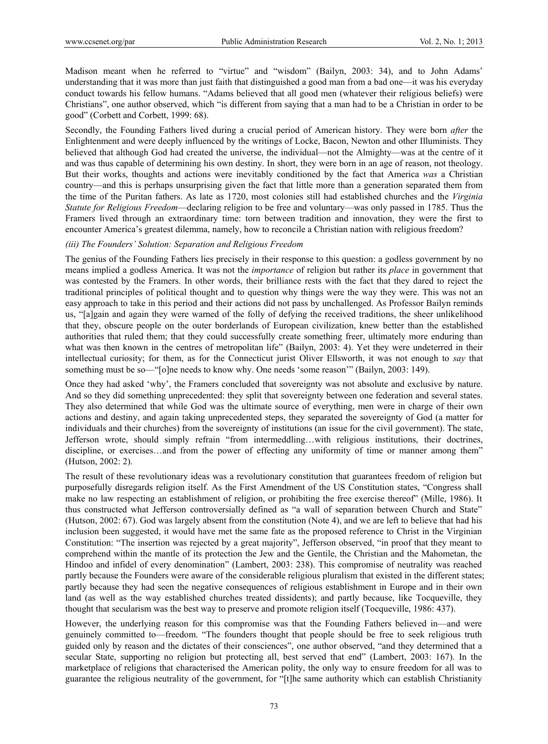Madison meant when he referred to "virtue" and "wisdom" (Bailyn, 2003: 34), and to John Adams' understanding that it was more than just faith that distinguished a good man from a bad one—it was his everyday conduct towards his fellow humans. "Adams believed that all good men (whatever their religious beliefs) were Christians", one author observed, which "is different from saying that a man had to be a Christian in order to be good" (Corbett and Corbett, 1999: 68).

Secondly, the Founding Fathers lived during a crucial period of American history. They were born *after* the Enlightenment and were deeply influenced by the writings of Locke, Bacon, Newton and other Illuminists. They believed that although God had created the universe, the individual—not the Almighty—was at the centre of it and was thus capable of determining his own destiny. In short, they were born in an age of reason, not theology. But their works, thoughts and actions were inevitably conditioned by the fact that America *was* a Christian country—and this is perhaps unsurprising given the fact that little more than a generation separated them from the time of the Puritan fathers. As late as 1720, most colonies still had established churches and the *Virginia Statute for Religious Freedom*—declaring religion to be free and voluntary—was only passed in 1785. Thus the Framers lived through an extraordinary time: torn between tradition and innovation, they were the first to encounter America's greatest dilemma, namely, how to reconcile a Christian nation with religious freedom?

#### *(iii) The Founders' Solution: Separation and Religious Freedom*

The genius of the Founding Fathers lies precisely in their response to this question: a godless government by no means implied a godless America. It was not the *importance* of religion but rather its *place* in government that was contested by the Framers. In other words, their brilliance rests with the fact that they dared to reject the traditional principles of political thought and to question why things were the way they were. This was not an easy approach to take in this period and their actions did not pass by unchallenged. As Professor Bailyn reminds us, "[a]gain and again they were warned of the folly of defying the received traditions, the sheer unlikelihood that they, obscure people on the outer borderlands of European civilization, knew better than the established authorities that ruled them; that they could successfully create something freer, ultimately more enduring than what was then known in the centres of metropolitan life" (Bailyn, 2003: 4). Yet they were undeterred in their intellectual curiosity; for them, as for the Connecticut jurist Oliver Ellsworth, it was not enough to *say* that something must be so—"[o]ne needs to know why. One needs 'some reason'" (Bailyn, 2003: 149).

Once they had asked 'why', the Framers concluded that sovereignty was not absolute and exclusive by nature. And so they did something unprecedented: they split that sovereignty between one federation and several states. They also determined that while God was the ultimate source of everything, men were in charge of their own actions and destiny, and again taking unprecedented steps, they separated the sovereignty of God (a matter for individuals and their churches) from the sovereignty of institutions (an issue for the civil government). The state, Jefferson wrote, should simply refrain "from intermeddling…with religious institutions, their doctrines, discipline, or exercises...and from the power of effecting any uniformity of time or manner among them" (Hutson, 2002: 2).

The result of these revolutionary ideas was a revolutionary constitution that guarantees freedom of religion but purposefully disregards religion itself. As the First Amendment of the US Constitution states, "Congress shall make no law respecting an establishment of religion, or prohibiting the free exercise thereof" (Mille, 1986). It thus constructed what Jefferson controversially defined as "a wall of separation between Church and State" (Hutson, 2002: 67). God was largely absent from the constitution (Note 4), and we are left to believe that had his inclusion been suggested, it would have met the same fate as the proposed reference to Christ in the Virginian Constitution: "The insertion was rejected by a great majority", Jefferson observed, "in proof that they meant to comprehend within the mantle of its protection the Jew and the Gentile, the Christian and the Mahometan, the Hindoo and infidel of every denomination" (Lambert, 2003: 238). This compromise of neutrality was reached partly because the Founders were aware of the considerable religious pluralism that existed in the different states; partly because they had seen the negative consequences of religious establishment in Europe and in their own land (as well as the way established churches treated dissidents); and partly because, like Tocqueville, they thought that secularism was the best way to preserve and promote religion itself (Tocqueville, 1986: 437).

However, the underlying reason for this compromise was that the Founding Fathers believed in—and were genuinely committed to—freedom. "The founders thought that people should be free to seek religious truth guided only by reason and the dictates of their consciences", one author observed, "and they determined that a secular State, supporting no religion but protecting all, best served that end" (Lambert, 2003: 167). In the marketplace of religions that characterised the American polity, the only way to ensure freedom for all was to guarantee the religious neutrality of the government, for "[t]he same authority which can establish Christianity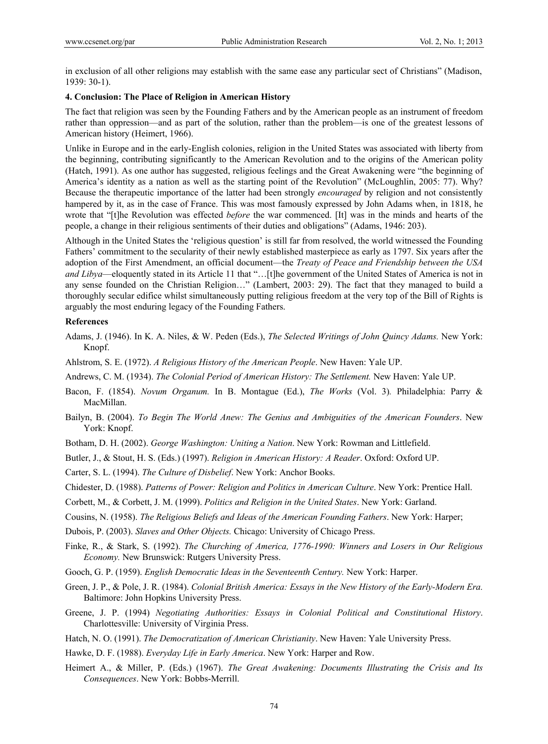in exclusion of all other religions may establish with the same ease any particular sect of Christians" (Madison, 1939: 30-1).

#### **4. Conclusion: The Place of Religion in American History**

The fact that religion was seen by the Founding Fathers and by the American people as an instrument of freedom rather than oppression—and as part of the solution, rather than the problem—is one of the greatest lessons of American history (Heimert, 1966).

Unlike in Europe and in the early-English colonies, religion in the United States was associated with liberty from the beginning, contributing significantly to the American Revolution and to the origins of the American polity (Hatch, 1991). As one author has suggested, religious feelings and the Great Awakening were "the beginning of America's identity as a nation as well as the starting point of the Revolution" (McLoughlin, 2005: 77). Why? Because the therapeutic importance of the latter had been strongly *encouraged* by religion and not consistently hampered by it, as in the case of France. This was most famously expressed by John Adams when, in 1818, he wrote that "[t]he Revolution was effected *before* the war commenced. [It] was in the minds and hearts of the people, a change in their religious sentiments of their duties and obligations" (Adams, 1946: 203).

Although in the United States the 'religious question' is still far from resolved, the world witnessed the Founding Fathers' commitment to the secularity of their newly established masterpiece as early as 1797. Six years after the adoption of the First Amendment, an official document—the *Treaty of Peace and Friendship between the USA and Libya*—eloquently stated in its Article 11 that "...[t]he government of the United States of America is not in any sense founded on the Christian Religion…" (Lambert, 2003: 29). The fact that they managed to build a thoroughly secular edifice whilst simultaneously putting religious freedom at the very top of the Bill of Rights is arguably the most enduring legacy of the Founding Fathers.

#### **References**

- Adams, J. (1946). In K. A. Niles, & W. Peden (Eds.), *The Selected Writings of John Quincy Adams.* New York: Knopf.
- Ahlstrom, S. E. (1972). *A Religious History of the American People*. New Haven: Yale UP.
- Andrews, C. M. (1934). *The Colonial Period of American History: The Settlement.* New Haven: Yale UP.
- Bacon, F. (1854). *Novum Organum.* In B. Montague (Ed.), *The Works* (Vol. 3)*.* Philadelphia: Parry & MacMillan.
- Bailyn, B. (2004). *To Begin The World Anew: The Genius and Ambiguities of the American Founders*. New York: Knopf.
- Botham, D. H. (2002). *George Washington: Uniting a Nation*. New York: Rowman and Littlefield.
- Butler, J., & Stout, H. S. (Eds.) (1997). *Religion in American History: A Reader*. Oxford: Oxford UP.
- Carter, S. L. (1994). *The Culture of Disbelief*. New York: Anchor Books.

Chidester, D. (1988). *Patterns of Power: Religion and Politics in American Culture*. New York: Prentice Hall.

- Corbett, M., & Corbett, J. M. (1999). *Politics and Religion in the United States*. New York: Garland.
- Cousins, N. (1958). *The Religious Beliefs and Ideas of the American Founding Fathers*. New York: Harper;

Dubois, P. (2003). *Slaves and Other Objects.* Chicago: University of Chicago Press.

- Finke, R., & Stark, S. (1992). *The Churching of America, 1776-1990: Winners and Losers in Our Religious Economy.* New Brunswick: Rutgers University Press.
- Gooch, G. P. (1959). *English Democratic Ideas in the Seventeenth Century.* New York: Harper.
- Green, J. P., & Pole, J. R. (1984). *Colonial British America: Essays in the New History of the Early-Modern Era.* Baltimore: John Hopkins University Press.
- Greene, J. P. (1994) *Negotiating Authorities: Essays in Colonial Political and Constitutional History*. Charlottesville: University of Virginia Press.
- Hatch, N. O. (1991). *The Democratization of American Christianity*. New Haven: Yale University Press.
- Hawke, D. F. (1988). *Everyday Life in Early America*. New York: Harper and Row.
- Heimert A., & Miller, P. (Eds.) (1967). *The Great Awakening: Documents Illustrating the Crisis and Its Consequences*. New York: Bobbs-Merrill.